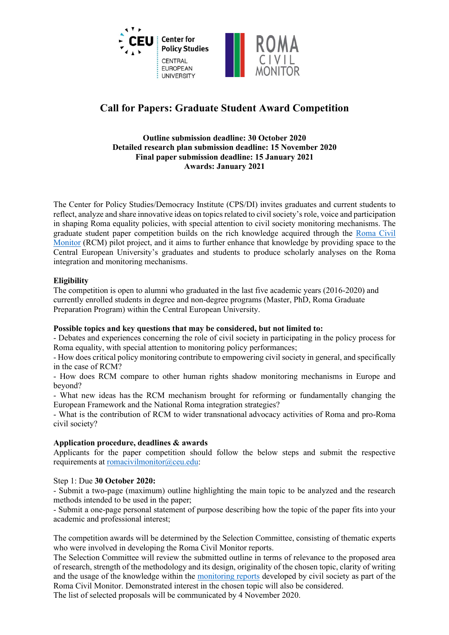

# **Call for Papers: Graduate Student Award Competition**

#### **Outline submission deadline: 30 October 2020 Detailed research plan submission deadline: 15 November 2020 Final paper submission deadline: 15 January 2021 Awards: January 2021**

The Center for Policy Studies/Democracy Institute (CPS/DI) invites graduates and current students to reflect, analyze and share innovative ideas on topics related to civil society's role, voice and participation in shaping Roma equality policies, with special attention to civil society monitoring mechanisms. The graduate student paper competition builds on the rich knowledge acquired through the [Roma Civil](https://cps.ceu.edu/roma-civil-monitor)  [Monitor](https://cps.ceu.edu/roma-civil-monitor) (RCM) pilot project, and it aims to further enhance that knowledge by providing space to the Central European University's graduates and students to produce scholarly analyses on the Roma integration and monitoring mechanisms.

## **Eligibility**

The competition is open to alumni who graduated in the last five academic years (2016-2020) and currently enrolled students in degree and non-degree programs (Master, PhD, Roma Graduate Preparation Program) within the Central European University.

## **Possible topics and key questions that may be considered, but not limited to:**

- Debates and experiences concerning the role of civil society in participating in the policy process for Roma equality, with special attention to monitoring policy performances;

- How does critical policy monitoring contribute to empowering civil society in general, and specifically in the case of RCM?

- How does RCM compare to other human rights shadow monitoring mechanisms in Europe and beyond?

- What new ideas has the RCM mechanism brought for reforming or fundamentally changing the European Framework and the National Roma integration strategies?

- What is the contribution of RCM to wider transnational advocacy activities of Roma and pro-Roma civil society?

## **Application procedure, deadlines & awards**

Applicants for the paper competition should follow the below steps and submit the respective requirements at [romacivilmonitor@ceu.edu:](mailto:romacivilmonitor@ceu.edu)

Step 1: Due **30 October 2020:**

- Submit a two-page (maximum) outline highlighting the main topic to be analyzed and the research methods intended to be used in the paper;

- Submit a one-page personal statement of purpose describing how the topic of the paper fits into your academic and professional interest;

The competition awards will be determined by the Selection Committee, consisting of thematic experts who were involved in developing the Roma Civil Monitor reports.

The Selection Committee will review the submitted outline in terms of relevance to the proposed area of research, strength of the methodology and its design, originality of the chosen topic, clarity of writing and the usage of the knowledge within the [monitoring reports](https://cps.ceu.edu/roma-civil-monitor-reports) developed by civil society as part of the Roma Civil Monitor. Demonstrated interest in the chosen topic will also be considered.

The list of selected proposals will be communicated by 4 November 2020.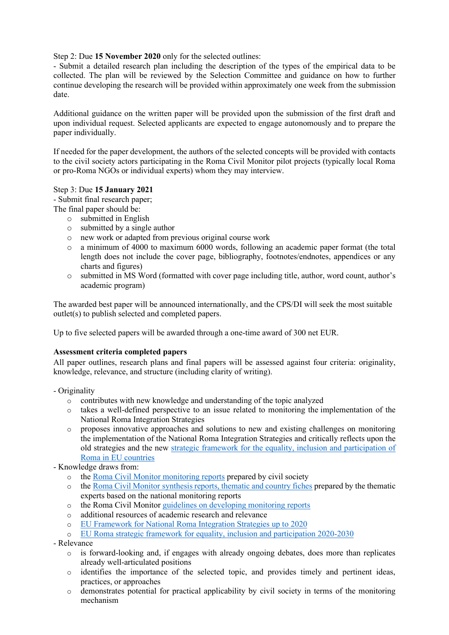Step 2: Due **15 November 2020** only for the selected outlines:

- Submit a detailed research plan including the description of the types of the empirical data to be collected. The plan will be reviewed by the Selection Committee and guidance on how to further continue developing the research will be provided within approximately one week from the submission date.

Additional guidance on the written paper will be provided upon the submission of the first draft and upon individual request. Selected applicants are expected to engage autonomously and to prepare the paper individually.

If needed for the paper development, the authors of the selected concepts will be provided with contacts to the civil society actors participating in the Roma Civil Monitor pilot projects (typically local Roma or pro-Roma NGOs or individual experts) whom they may interview.

#### Step 3: Due **15 January 2021**

- Submit final research paper;

- The final paper should be:
	- o submitted in English
	- o submitted by a single author
	- o new work or adapted from previous original course work
	- o a minimum of 4000 to maximum 6000 words, following an academic paper format (the total length does not include the cover page, bibliography, footnotes/endnotes, appendices or any charts and figures)
	- o submitted in MS Word (formatted with cover page including title, author, word count, author's academic program)

The awarded best paper will be announced internationally, and the CPS/DI will seek the most suitable outlet(s) to publish selected and completed papers.

Up to five selected papers will be awarded through a one-time award of 300 net EUR.

## **Assessment criteria completed papers**

All paper outlines, research plans and final papers will be assessed against four criteria: originality, knowledge, relevance, and structure (including clarity of writing).

- Originality
	- o contributes with new knowledge and understanding of the topic analyzed
	- o takes a well-defined perspective to an issue related to monitoring the implementation of the National Roma Integration Strategies
	- o proposes innovative approaches and solutions to new and existing challenges on monitoring the implementation of the National Roma Integration Strategies and critically reflects upon the old strategies and the new [strategic framework for the equality, inclusion and participation of](https://ec.europa.eu/info/policies/justice-and-fundamental-rights/combatting-discrimination/roma-eu/roma-equality-inclusion-and-participation-eu_en)  [Roma in EU countries](https://ec.europa.eu/info/policies/justice-and-fundamental-rights/combatting-discrimination/roma-eu/roma-equality-inclusion-and-participation-eu_en)
- Knowledge draws from:
	- o the [Roma Civil Monitor monitoring reports](https://cps.ceu.edu/roma-civil-monitor-reports) prepared by civil society
	- o the Roma Civil Monitor [synthesis reports, thematic and country fiches](https://cps.ceu.edu/roma-civil-monitor-analysis-and-synthesis) prepared by the thematic experts based on the national monitoring reports
	- o the Roma Civil Monitor [guidelines on developing monitoring reports](https://cps.ceu.edu/roma-civil-monitor-monitoring-guidelines)
	- o additional resources of academic research and relevance
	- o [EU Framework for National Roma Integration Strategies up to 2020](https://ec.europa.eu/info/policies/justice-and-fundamental-rights/combatting-discrimination/roma-eu/roma-equality-inclusion-and-participation-eu/roma-integration-strategies-2020_en#eu-framework-for-national-roma-integration-strategies-up-to-2020)
	- o [EU Roma strategic framework for equality, inclusion and participation 2020-2030](https://ec.europa.eu/info/policies/justice-and-fundamental-rights/combatting-discrimination/roma-eu/roma-equality-inclusion-and-participation-eu_en#eu-roma-strategic-framework-for-equality-inclusion-and-participation)
- Relevance
	- o is forward-looking and, if engages with already ongoing debates, does more than replicates already well-articulated positions
	- o identifies the importance of the selected topic, and provides timely and pertinent ideas, practices, or approaches
	- $\circ$  demonstrates potential for practical applicability by civil society in terms of the monitoring mechanism